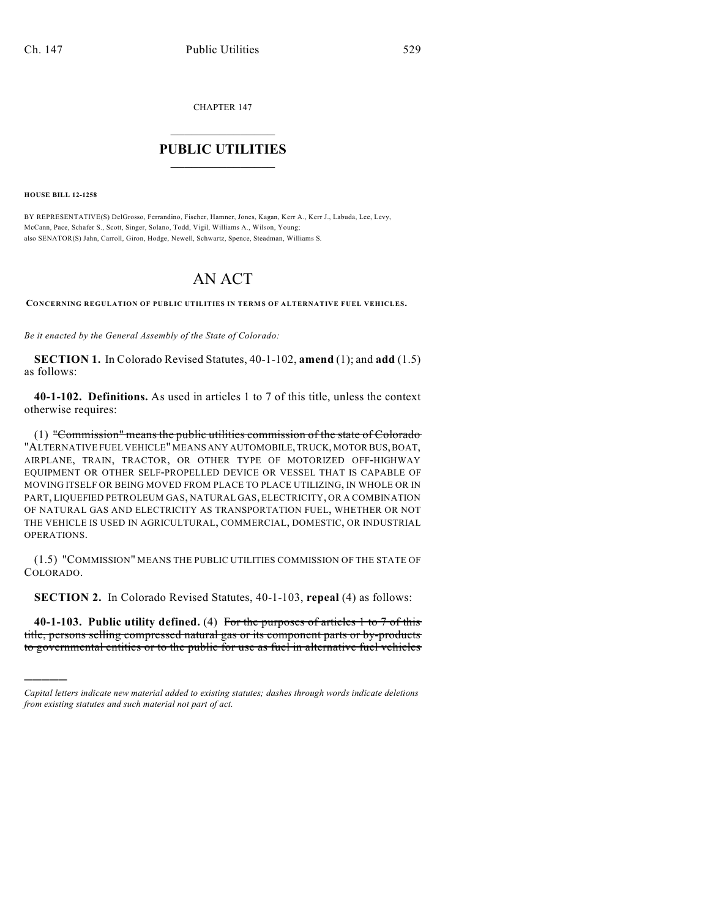CHAPTER 147

## $\mathcal{L}_\text{max}$  . The set of the set of the set of the set of the set of the set of the set of the set of the set of the set of the set of the set of the set of the set of the set of the set of the set of the set of the set **PUBLIC UTILITIES** \_\_\_\_\_\_\_\_\_\_\_\_\_\_\_

**HOUSE BILL 12-1258**

)))))

BY REPRESENTATIVE(S) DelGrosso, Ferrandino, Fischer, Hamner, Jones, Kagan, Kerr A., Kerr J., Labuda, Lee, Levy, McCann, Pace, Schafer S., Scott, Singer, Solano, Todd, Vigil, Williams A., Wilson, Young; also SENATOR(S) Jahn, Carroll, Giron, Hodge, Newell, Schwartz, Spence, Steadman, Williams S.

## AN ACT

**CONCERNING REGULATION OF PUBLIC UTILITIES IN TERMS OF ALTERNATIVE FUEL VEHICLES.**

*Be it enacted by the General Assembly of the State of Colorado:*

**SECTION 1.** In Colorado Revised Statutes, 40-1-102, **amend** (1); and **add** (1.5) as follows:

**40-1-102. Definitions.** As used in articles 1 to 7 of this title, unless the context otherwise requires:

(1) "Commission" means the public utilities commission of the state of Colorado "ALTERNATIVE FUEL VEHICLE" MEANS ANY AUTOMOBILE, TRUCK, MOTOR BUS,BOAT, AIRPLANE, TRAIN, TRACTOR, OR OTHER TYPE OF MOTORIZED OFF-HIGHWAY EQUIPMENT OR OTHER SELF-PROPELLED DEVICE OR VESSEL THAT IS CAPABLE OF MOVING ITSELF OR BEING MOVED FROM PLACE TO PLACE UTILIZING, IN WHOLE OR IN PART, LIQUEFIED PETROLEUM GAS, NATURAL GAS, ELECTRICITY, OR A COMBINATION OF NATURAL GAS AND ELECTRICITY AS TRANSPORTATION FUEL, WHETHER OR NOT THE VEHICLE IS USED IN AGRICULTURAL, COMMERCIAL, DOMESTIC, OR INDUSTRIAL OPERATIONS.

(1.5) "COMMISSION" MEANS THE PUBLIC UTILITIES COMMISSION OF THE STATE OF COLORADO.

**SECTION 2.** In Colorado Revised Statutes, 40-1-103, **repeal** (4) as follows:

**40-1-103. Public utility defined.** (4) For the purposes of articles 1 to 7 of this title, persons selling compressed natural gas or its component parts or by-products to governmental entities or to the public for use as fuel in alternative fuel vehicles

*Capital letters indicate new material added to existing statutes; dashes through words indicate deletions from existing statutes and such material not part of act.*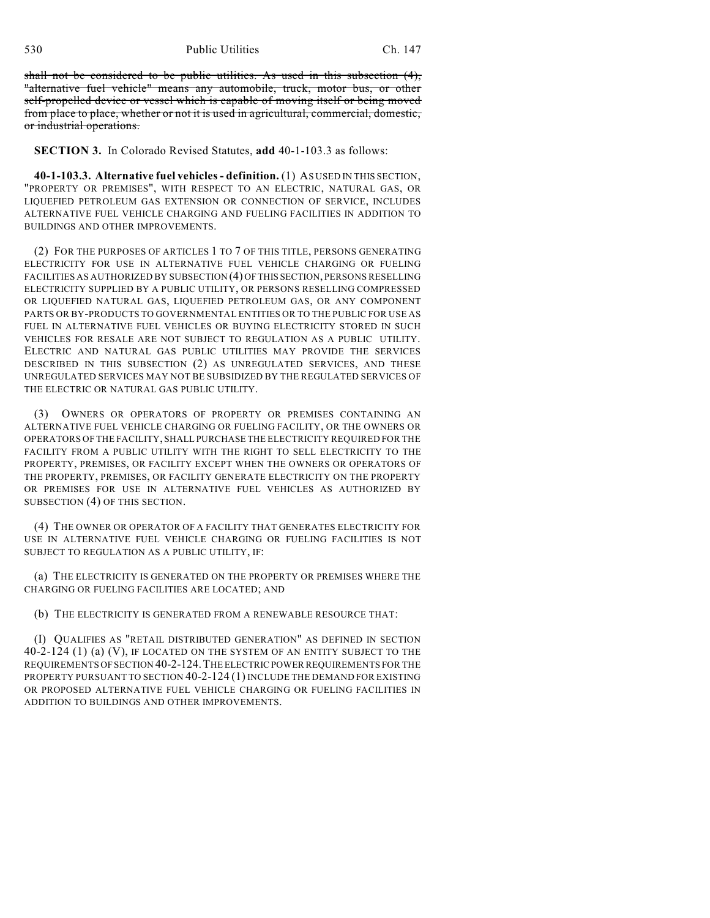530 Public Utilities Ch. 147

shall not be considered to be public utilities. As used in this subsection (4), "alternative fuel vehicle" means any automobile, truck, motor bus, or other self-propelled device or vessel which is capable of moving itself or being moved from place to place, whether or not it is used in agricultural, commercial, domestic, or industrial operations.

**SECTION 3.** In Colorado Revised Statutes, **add** 40-1-103.3 as follows:

**40-1-103.3. Alternative fuel vehicles - definition.** (1) AS USED IN THIS SECTION, "PROPERTY OR PREMISES", WITH RESPECT TO AN ELECTRIC, NATURAL GAS, OR LIQUEFIED PETROLEUM GAS EXTENSION OR CONNECTION OF SERVICE, INCLUDES ALTERNATIVE FUEL VEHICLE CHARGING AND FUELING FACILITIES IN ADDITION TO BUILDINGS AND OTHER IMPROVEMENTS.

(2) FOR THE PURPOSES OF ARTICLES 1 TO 7 OF THIS TITLE, PERSONS GENERATING ELECTRICITY FOR USE IN ALTERNATIVE FUEL VEHICLE CHARGING OR FUELING FACILITIES AS AUTHORIZED BY SUBSECTION (4) OFTHIS SECTION, PERSONS RESELLING ELECTRICITY SUPPLIED BY A PUBLIC UTILITY, OR PERSONS RESELLING COMPRESSED OR LIQUEFIED NATURAL GAS, LIQUEFIED PETROLEUM GAS, OR ANY COMPONENT PARTS OR BY-PRODUCTS TO GOVERNMENTAL ENTITIES OR TO THE PUBLIC FOR USE AS FUEL IN ALTERNATIVE FUEL VEHICLES OR BUYING ELECTRICITY STORED IN SUCH VEHICLES FOR RESALE ARE NOT SUBJECT TO REGULATION AS A PUBLIC UTILITY. ELECTRIC AND NATURAL GAS PUBLIC UTILITIES MAY PROVIDE THE SERVICES DESCRIBED IN THIS SUBSECTION (2) AS UNREGULATED SERVICES, AND THESE UNREGULATED SERVICES MAY NOT BE SUBSIDIZED BY THE REGULATED SERVICES OF THE ELECTRIC OR NATURAL GAS PUBLIC UTILITY.

(3) OWNERS OR OPERATORS OF PROPERTY OR PREMISES CONTAINING AN ALTERNATIVE FUEL VEHICLE CHARGING OR FUELING FACILITY, OR THE OWNERS OR OPERATORS OF THE FACILITY, SHALL PURCHASE THE ELECTRICITY REQUIRED FOR THE FACILITY FROM A PUBLIC UTILITY WITH THE RIGHT TO SELL ELECTRICITY TO THE PROPERTY, PREMISES, OR FACILITY EXCEPT WHEN THE OWNERS OR OPERATORS OF THE PROPERTY, PREMISES, OR FACILITY GENERATE ELECTRICITY ON THE PROPERTY OR PREMISES FOR USE IN ALTERNATIVE FUEL VEHICLES AS AUTHORIZED BY SUBSECTION (4) OF THIS SECTION.

(4) THE OWNER OR OPERATOR OF A FACILITY THAT GENERATES ELECTRICITY FOR USE IN ALTERNATIVE FUEL VEHICLE CHARGING OR FUELING FACILITIES IS NOT SUBJECT TO REGULATION AS A PUBLIC UTILITY, IF:

(a) THE ELECTRICITY IS GENERATED ON THE PROPERTY OR PREMISES WHERE THE CHARGING OR FUELING FACILITIES ARE LOCATED; AND

(b) THE ELECTRICITY IS GENERATED FROM A RENEWABLE RESOURCE THAT:

(I) QUALIFIES AS "RETAIL DISTRIBUTED GENERATION" AS DEFINED IN SECTION 40-2-124 (1) (a) (V), IF LOCATED ON THE SYSTEM OF AN ENTITY SUBJECT TO THE REQUIREMENTS OFSECTION 40-2-124.THE ELECTRIC POWER REQUIREMENTS FOR THE PROPERTY PURSUANT TO SECTION 40-2-124 (1) INCLUDE THE DEMAND FOR EXISTING OR PROPOSED ALTERNATIVE FUEL VEHICLE CHARGING OR FUELING FACILITIES IN ADDITION TO BUILDINGS AND OTHER IMPROVEMENTS.